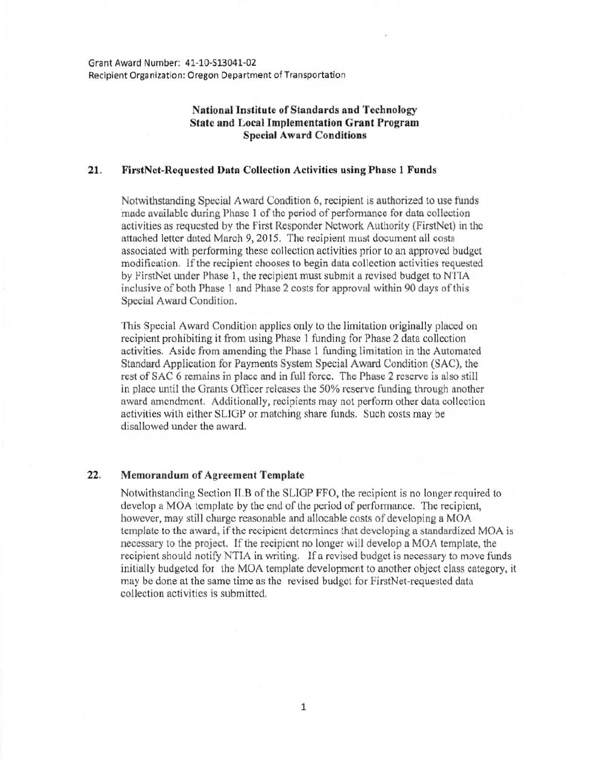Grant Award Number: 41-10-513041-02 Recipient Organization: Oregon Department of Transportation

## National Institute of Standards and Technology State and Local Implementation Grant Program Special Award Conditions

## 21. FirstNet-Requcsted Data Collection Activities using Phase 1 Funds

Notwithstanding Special Award Condition 6, recipient is authorized to use funds made available during Phase 1 of the period of performance for data collection activities as requested by the First Responder Network Authority (FirstNet) in the attached letter dated March 9, 2015. The recipient must document all costs associated with performing these collection activities prior to an approved budget modification. If the recipient chooses to begin data collection activities requested by FirstNet tmder Phase 1, the recipient must submit a revised budget to NTIA inclusive of both Phase 1 and Phase 2 costs for approval within 90 days of this Special Award Condition.

This Special Award Condition applies only to the limitation originally placed on recipient prohibiting it from using Phase 1 funding for Phase 2 data collection activities. Aside from amending the Phase 1 funding limitation in the Automated Standard Application for Payments System Special Award Condition (SAC), the rest of SAC 6 remains in place and in full force. The Phase 2 reserve is also still in place tmtil the Grants Officer releases the 50% reserve funding through another award amendment. Additionally, recipients may not perform other data collection activities with either SLIGP or matching share funds. Such costs may be disallowed under the award.

## 22. Memorandum of Agreement Template

Notwithstanding Section II.B of the SLIGP FFO, the recipient is no longer required to develop a MOA template by the end of the period of performance. The recipient, however, may still charge reasonable and allocable costs of developing a MOA template to the award, if the recipient determines that developing a standardized MOA is necessary to the project. If the recipient no longer will develop a MOA template, the recipient should notify NTTA in writing. If a revised budget is necessary to move funds initially budgeted for the MOA template development to another object class category, it may be done at the same time as the revised budget for FirstNet-requestcd data collection activities is submitted.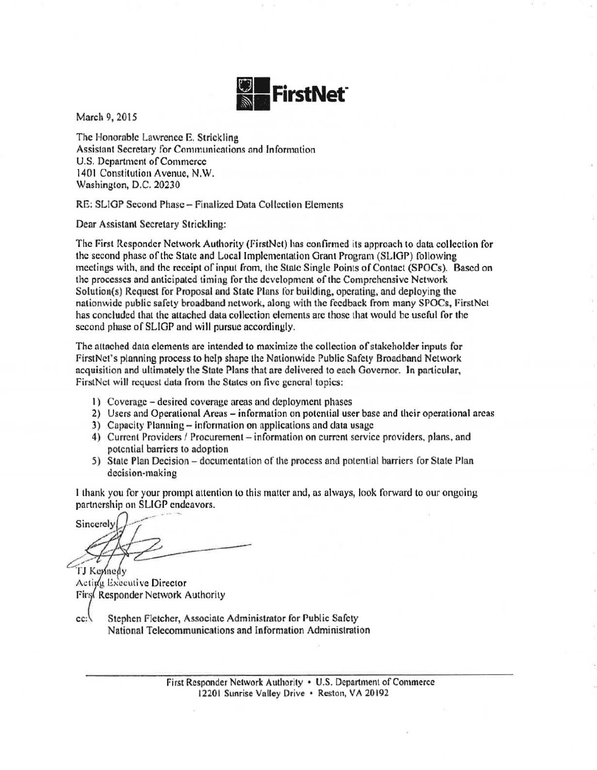

March 9, 2015

The Honorable Lawrence E. Strickling Assistant Secretary for Communications and Information U.S. Department of Commerce 1401 Constitution Avenue, N.W. Washington, D.C. 20230

RE: SLIGP Second Phase- Finalized Data Collection Elements

Dear Assistant Secretary Strickling:

The First Responder Network Authority (firstNel) has confirmed its approach to data collection for the second phase of the State and Local Implementation Grant Program (SLIGP) following meetings with, and the receipt of input from, the State Single Points of Contact (SPOCs). Based on the processes and anticipated timing for the development of the Comprehensive Network Solution(s) Request for Proposal and State Plans for building, operating, and deploying the nationwide public safety broadband network, along with the feedback from many SPOCs, FirstNct has concluded that the attached data collection elements are those that would be useful for the second phase of SLIGP and will pursue accordingly.

The attached data elements arc intended to maximize the collection of stakeholder inputs for FirstNct's planning process to help shape the Nationwide Public Safety Broadband Network acquisition and ultimately the State Plans that are delivered to each Governor. In particular, FirstNet will request data from the States on five general topics:

- I) Coverage- desired coverage areas and deployment phases
- 2) Users and Operational Areas information on potential user base and their operational areas
- 3) Capacity Planning information on applications and data usage
- 4) Current Providers / Procurement information on current service providers, plans, and potential barriers to adoption
- 5) State Plan Decision documentation of the process and potential barriers for State Plan decision-making

I thank you for your prompt attention to this matter and, as always, look forward to our ongoing partnership on SLIGP endeavors.

Sincerely

TJ Keynedy Activa Executive Director First Responder Network Authority

 $cc$ 

Stephen Fletcher, Associate Administrator for Public Safety National Telecommunications and Information Administration

> First Responder Network Authority • U.S. Department of Commerce 12201 Sunrise Valley Drive • Reston, VA 20192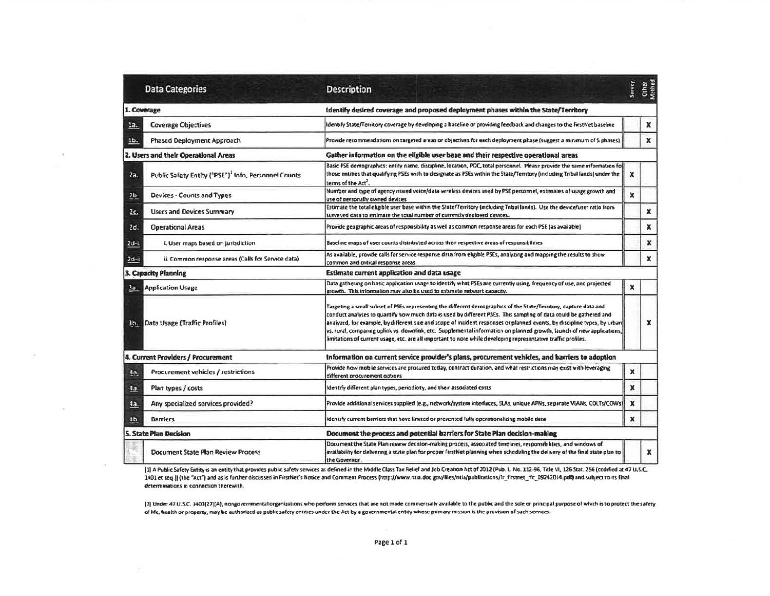| <b>Data Categories</b> |                                                                  | Description                                                                                                                                                                                                                                                                                                                                                                                                                                                                                                                                                                                                     | Survey           | Other<br>Viethod |
|------------------------|------------------------------------------------------------------|-----------------------------------------------------------------------------------------------------------------------------------------------------------------------------------------------------------------------------------------------------------------------------------------------------------------------------------------------------------------------------------------------------------------------------------------------------------------------------------------------------------------------------------------------------------------------------------------------------------------|------------------|------------------|
|                        | 1. Coverage                                                      | Identify desired coverage and proposed deployment phases within the State/Territory                                                                                                                                                                                                                                                                                                                                                                                                                                                                                                                             |                  |                  |
| 1a.                    | <b>Coverage Objectives</b>                                       | Identify State/Territory coverage by developing a baseline or providing feedback and changes to the FirstNet baseline                                                                                                                                                                                                                                                                                                                                                                                                                                                                                           |                  | x                |
| Ib.                    | Phased Deployment Approach                                       | Provide recommendations on targeted areas or objectives for each deployment phase (suggest a munmum of 5 phases)                                                                                                                                                                                                                                                                                                                                                                                                                                                                                                |                  | x                |
|                        | 2. Users and their Operational Areas                             | Gather information on the eligible user base and their respective operational areas                                                                                                                                                                                                                                                                                                                                                                                                                                                                                                                             |                  |                  |
| 2a.                    | Public Safety Entity ("PSE") <sup>3</sup> Info, Personnel Counts | Basic PSE demographics: entity name, discipline, location, POC, total personnel. Please provide the same information foi<br>those entities that qualifying PSEs wish to designate as PSEs within the State/Territory (including Tribal lands) under the<br>terms of the Act <sup>2</sup> .                                                                                                                                                                                                                                                                                                                      | x                |                  |
| 2 <sub>b</sub>         | Devices - Counts and Types                                       | Number and type of agency issued voice/data wireless devices used by PSE personnel, estimates of usage growth and<br>use of personally owned devices                                                                                                                                                                                                                                                                                                                                                                                                                                                            | ×                |                  |
| 2c.                    | <b>Users and Devices Summary</b>                                 | Estimate the total eligible user base within the State/Territory (including Tribal lands). Use the device/user ratio from<br>surveyed data to estimate the total number of currently deployed devices.                                                                                                                                                                                                                                                                                                                                                                                                          |                  | $\boldsymbol{x}$ |
| 2d.                    | <b>Operational Areas</b>                                         | Provide geographic areas of responsibility as well as common response areas for each PSE (as available)                                                                                                                                                                                                                                                                                                                                                                                                                                                                                                         |                  | $\mathbf{x}$     |
| 2d-i.                  | i. User maps based on jurisdiction                               | Baseline maps of user counts distributed across their respective areas of responsibilities                                                                                                                                                                                                                                                                                                                                                                                                                                                                                                                      |                  | x                |
| $2d - ii$              | ii. Common response areas (Calls for Service data)               | As available, provide calls for service response data from eligible PSEs, analyzing and mapping the results to show<br>common and critical response areas                                                                                                                                                                                                                                                                                                                                                                                                                                                       |                  | ×                |
|                        | 3. Capacity Planning                                             | Estimate current application and data usage                                                                                                                                                                                                                                                                                                                                                                                                                                                                                                                                                                     |                  |                  |
| За.                    | <b>Application Usage</b>                                         | Data gathering on basic application usage to identify what PSEs are currently using, frequency of use, and projected<br>growth. This information may also be used to estimate network capacity.                                                                                                                                                                                                                                                                                                                                                                                                                 | x                |                  |
| 36.                    | Data Usage (Traffic Profiles)                                    | Targeting a small subset of PSEs representing the different demographics of the State/Territory, capture data and<br>conduct analyses to quantify how much data is used by different PSEs. This sampling of data could be gathered and<br>analyzed, for example, by different size and scope of incident responses or planned events, by discipline types, by urban<br>vs. rural, comparing uplink vs. downlink, etc. Supplemental information on planned growth, launch of new applications,<br>limitations of current usage, etc. are all important to note while developing representative traffic profiles. |                  | $\mathbf x$      |
|                        | 4. Current Providers / Procurement                               | Information on current service provider's plans, procurement vehicles, and barriers to adoption                                                                                                                                                                                                                                                                                                                                                                                                                                                                                                                 |                  |                  |
| 4a.                    | Procurement vehicles / restrictions                              | Provide how mobile services are procured today, contract duration, and what restrictions may exist with leveraging<br>different procurement aptions                                                                                                                                                                                                                                                                                                                                                                                                                                                             | $\mathbf x$      |                  |
| 4a.                    | Plan types / costs                                               | Identify different plan types, periodicity, and their associated costs                                                                                                                                                                                                                                                                                                                                                                                                                                                                                                                                          | $\boldsymbol{x}$ |                  |
| 4a                     | Any specialized services provided?                               | Provide additional services supplied (e.g., network/system interfaces, SLAs, unique APNs, separate VLANs, COLTs/COWs)                                                                                                                                                                                                                                                                                                                                                                                                                                                                                           | $\pmb{\times}$   |                  |
| 4 <sub>b</sub>         | <b>Barriers</b>                                                  | identify current barriers that have limited or prevented fully operationalizing mobile data                                                                                                                                                                                                                                                                                                                                                                                                                                                                                                                     | x                |                  |
|                        | 5. State Plan Decision                                           | Document the process and potential barriers for State Plan decision-making                                                                                                                                                                                                                                                                                                                                                                                                                                                                                                                                      |                  |                  |
|                        | Document State Plan Review Process                               | Document the State Plan rewew decision-making process, associated timelines, responsibilities, and windows of<br>availability for delivering a state plan for proper firstNet planning when scheduling the delivery of the final state plan to<br>the Governor.                                                                                                                                                                                                                                                                                                                                                 |                  | $\mathbf x$      |

[1] A Public Safety Entity is an entity that provides public safety services as defined in the Middle Class Tax Relief and Job Creation Act of 2012 (Pub. L. No. 212-96, Title VI, 126 Stat. 256 (codified at 47 U.S.C. 1401 et seq.)) (the "Act") and as is further discussed in FirstNet's Notice and Comment Process (http://www.ntia.doc gov/files/ntia/publications/fr\_firstnet\_rfc\_09242014.pdf) and subject to its final determinations in connection therewith.

[2] Under 47 U.S.C. 1401[27][A], nongovernmental organizations who perform services that are not made commercially available to the public and the sole or principal purpose of which is to protect the safety of Me, health or property, may be authorized as public safety entries under the Act by a governmental entity whose primary mission is the provision of such services.